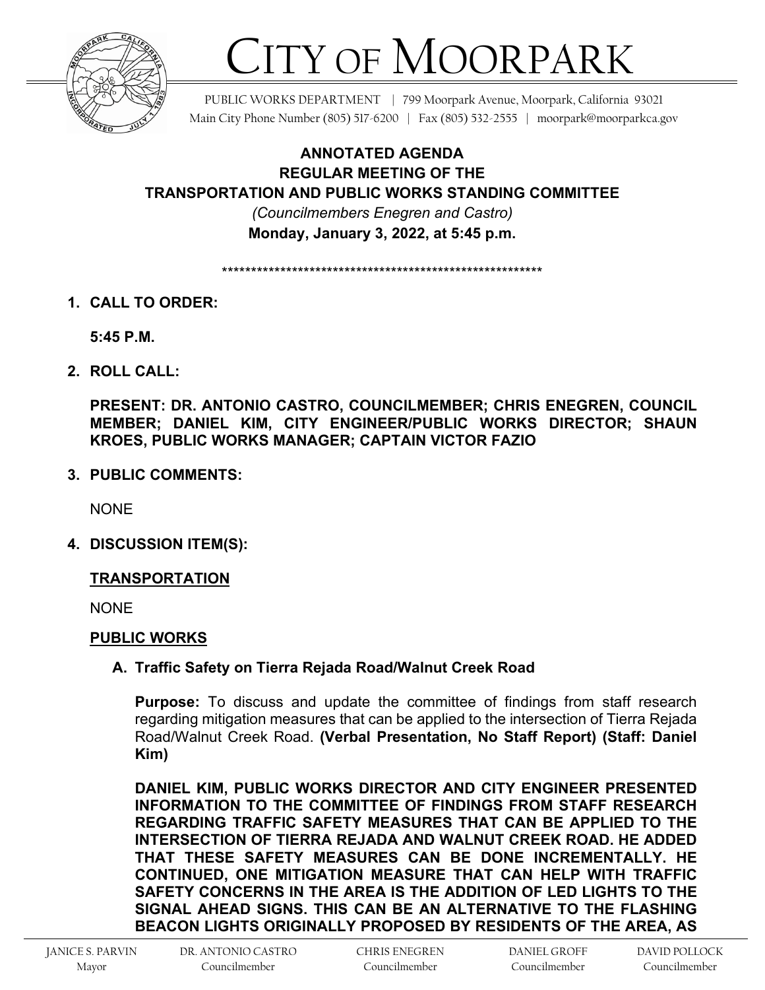

# CITY OF MOORPARK

PUBLIC WORKS DEPARTMENT | 799 Moorpark Avenue, Moorpark, California 93021 Main City Phone Number (805) 517-6200 | Fax (805) 532-2555 | moorpark@moorparkca.gov

**ANNOTATED AGENDA REGULAR MEETING OF THE TRANSPORTATION AND PUBLIC WORKS STANDING COMMITTEE**  *(Councilmembers Enegren and Castro)*  **Monday, January 3, 2022, at 5:45 p.m.**

\*\*\*\*\*\*\*\*\*\*\*\*\*\*\*\*\*\*\*\*\*\*\*\*\*\*\*\*\*\*\*\*\*\*\*\*\*\*\*\*\*\*\*\*\*\*\*\*\*\*\*\*\*\*\*

**1. CALL TO ORDER:**

**5:45 P.M.**

**2. ROLL CALL:**

**PRESENT: DR. ANTONIO CASTRO, COUNCILMEMBER; CHRIS ENEGREN, COUNCIL MEMBER; DANIEL KIM, CITY ENGINEER/PUBLIC WORKS DIRECTOR; SHAUN KROES, PUBLIC WORKS MANAGER; CAPTAIN VICTOR FAZIO**

**3. PUBLIC COMMENTS:**

**NONE** 

**4. DISCUSSION ITEM(S):**

## **TRANSPORTATION**

**NONE** 

## **PUBLIC WORKS**

## **A. Traffic Safety on Tierra Rejada Road/Walnut Creek Road**

**Purpose:** To discuss and update the committee of findings from staff research regarding mitigation measures that can be applied to the intersection of Tierra Rejada Road/Walnut Creek Road. **(Verbal Presentation, No Staff Report) (Staff: Daniel Kim)**

**DANIEL KIM, PUBLIC WORKS DIRECTOR AND CITY ENGINEER PRESENTED INFORMATION TO THE COMMITTEE OF FINDINGS FROM STAFF RESEARCH REGARDING TRAFFIC SAFETY MEASURES THAT CAN BE APPLIED TO THE INTERSECTION OF TIERRA REJADA AND WALNUT CREEK ROAD. HE ADDED THAT THESE SAFETY MEASURES CAN BE DONE INCREMENTALLY. HE CONTINUED, ONE MITIGATION MEASURE THAT CAN HELP WITH TRAFFIC SAFETY CONCERNS IN THE AREA IS THE ADDITION OF LED LIGHTS TO THE SIGNAL AHEAD SIGNS. THIS CAN BE AN ALTERNATIVE TO THE FLASHING BEACON LIGHTS ORIGINALLY PROPOSED BY RESIDENTS OF THE AREA, AS**

DR. ANTONIO CASTRO Councilmember

DANIEL GROFF Councilmember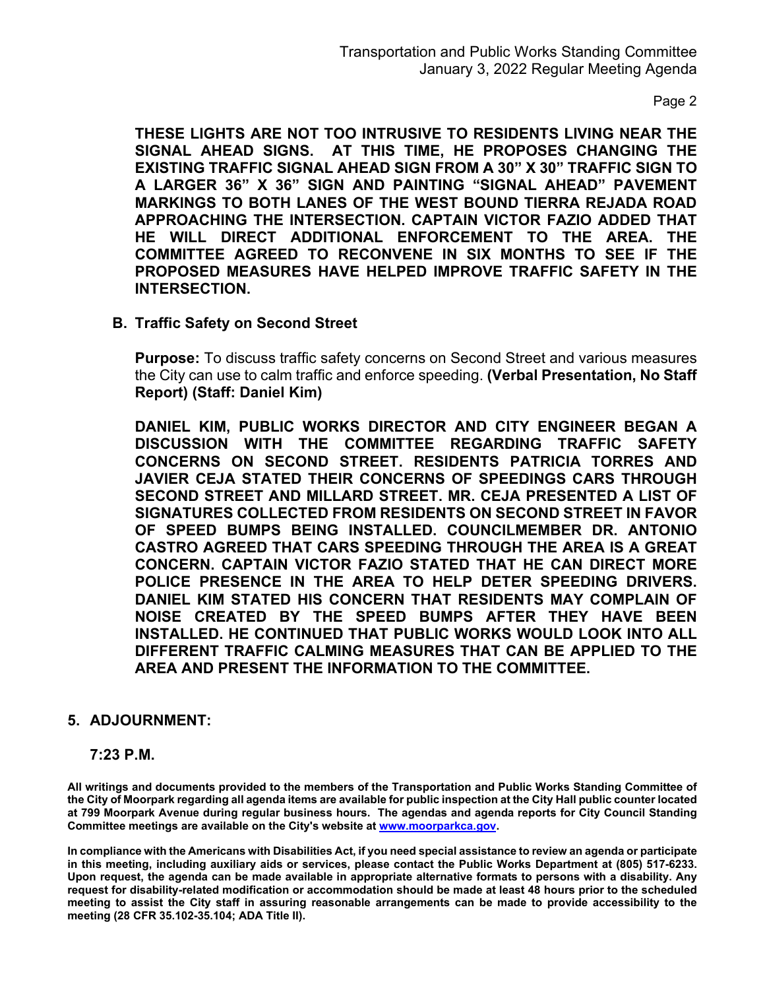Page 2

**THESE LIGHTS ARE NOT TOO INTRUSIVE TO RESIDENTS LIVING NEAR THE SIGNAL AHEAD SIGNS. AT THIS TIME, HE PROPOSES CHANGING THE EXISTING TRAFFIC SIGNAL AHEAD SIGN FROM A 30" X 30" TRAFFIC SIGN TO A LARGER 36" X 36" SIGN AND PAINTING "SIGNAL AHEAD" PAVEMENT MARKINGS TO BOTH LANES OF THE WEST BOUND TIERRA REJADA ROAD APPROACHING THE INTERSECTION. CAPTAIN VICTOR FAZIO ADDED THAT HE WILL DIRECT ADDITIONAL ENFORCEMENT TO THE AREA. THE COMMITTEE AGREED TO RECONVENE IN SIX MONTHS TO SEE IF THE PROPOSED MEASURES HAVE HELPED IMPROVE TRAFFIC SAFETY IN THE INTERSECTION.** 

**B. Traffic Safety on Second Street**

**Purpose:** To discuss traffic safety concerns on Second Street and various measures the City can use to calm traffic and enforce speeding. **(Verbal Presentation, No Staff Report) (Staff: Daniel Kim)**

**DANIEL KIM, PUBLIC WORKS DIRECTOR AND CITY ENGINEER BEGAN A DISCUSSION WITH THE COMMITTEE REGARDING TRAFFIC SAFETY CONCERNS ON SECOND STREET. RESIDENTS PATRICIA TORRES AND JAVIER CEJA STATED THEIR CONCERNS OF SPEEDINGS CARS THROUGH SECOND STREET AND MILLARD STREET. MR. CEJA PRESENTED A LIST OF SIGNATURES COLLECTED FROM RESIDENTS ON SECOND STREET IN FAVOR OF SPEED BUMPS BEING INSTALLED. COUNCILMEMBER DR. ANTONIO CASTRO AGREED THAT CARS SPEEDING THROUGH THE AREA IS A GREAT CONCERN. CAPTAIN VICTOR FAZIO STATED THAT HE CAN DIRECT MORE POLICE PRESENCE IN THE AREA TO HELP DETER SPEEDING DRIVERS. DANIEL KIM STATED HIS CONCERN THAT RESIDENTS MAY COMPLAIN OF NOISE CREATED BY THE SPEED BUMPS AFTER THEY HAVE BEEN INSTALLED. HE CONTINUED THAT PUBLIC WORKS WOULD LOOK INTO ALL DIFFERENT TRAFFIC CALMING MEASURES THAT CAN BE APPLIED TO THE AREA AND PRESENT THE INFORMATION TO THE COMMITTEE.**

#### **5. ADJOURNMENT:**

#### **7:23 P.M.**

**All writings and documents provided to the members of the Transportation and Public Works Standing Committee of the City of Moorpark regarding all agenda items are available for public inspection at the City Hall public counter located at 799 Moorpark Avenue during regular business hours. The agendas and agenda reports for City Council Standing Committee meetings are available on the City's website a[t www.moorparkca.gov.](http://www.moorparkca.gov/)** 

**In compliance with the Americans with Disabilities Act, if you need special assistance to review an agenda or participate in this meeting, including auxiliary aids or services, please contact the Public Works Department at (805) 517-6233. Upon request, the agenda can be made available in appropriate alternative formats to persons with a disability. Any request for disability-related modification or accommodation should be made at least 48 hours prior to the scheduled meeting to assist the City staff in assuring reasonable arrangements can be made to provide accessibility to the meeting (28 CFR 35.102-35.104; ADA Title II).**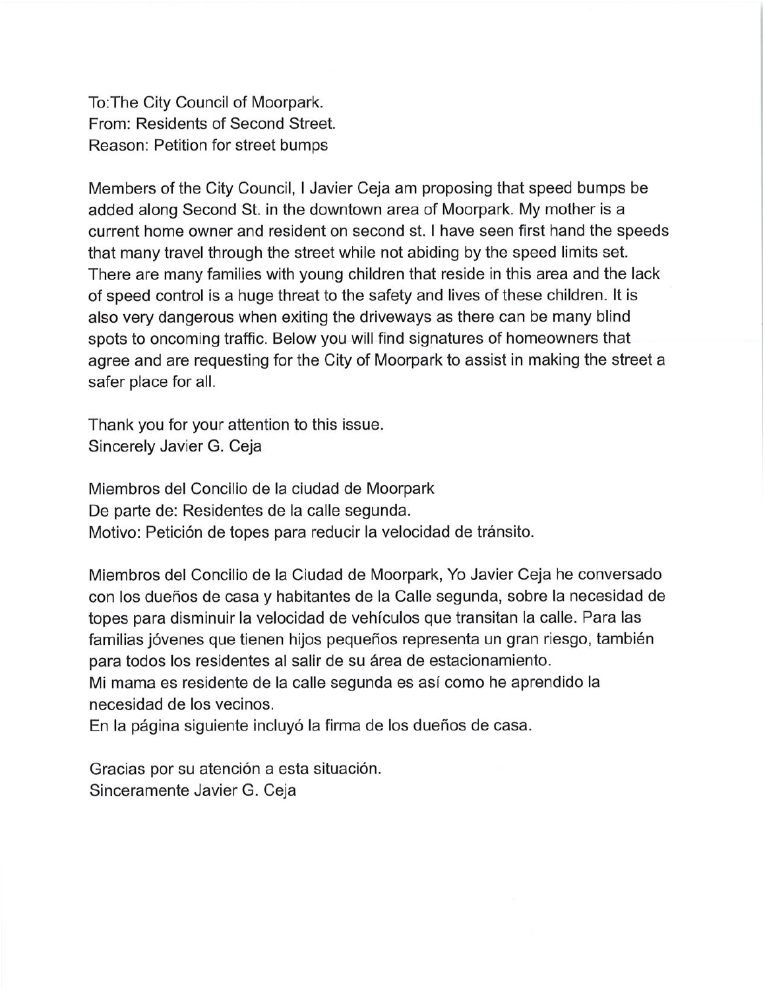To: The City Council of Moorpark. From: Residents of Second Street. Reason: Petition for street bumps

Members of the City Council, I Javier Ceja am proposing that speed bumps be added along Second St. in the downtown area of Moorpark. My mother is a current home owner and resident on second st. I have seen first hand the speeds that many travel through the street while not abiding by the speed limits set. There are many families with young children that reside in this area and the lack of speed control is a huge threat to the safety and lives of these children. It is also very dangerous when exiting the driveways as there can be many blind spots to oncoming traffic. Below you will find signatures of homeowners that agree and are requesting for the City of Moorpark to assist in making the street a safer place for all.

Thank you for your attention to this issue. Sincerely Javier G. Ceja

Miembros del Concilio de la ciudad de Moorpark De parte de: Residentes de la calle segunda. Motivo: Petición de topes para reducir la velocidad de tránsito.

Miembros del Concilio de la Ciudad de Moorpark, Yo Javier Ceja he conversado con los dueños de casa y habitantes de la Calle segunda, sobre la necesidad de topes para disminuir la velocidad de vehículos que transitan la calle. Para las familias jóvenes que tienen hijos pequeños representa un gran riesgo, también para todos los residentes al salir de su área de estacionamiento. Mi mama es residente de la calle segunda es así como he aprendido la necesidad de los vecinos.

En la página siguiente incluyó la firma de los dueños de casa.

Gracias por su atención a esta situación. Sinceramente Javier G. Ceja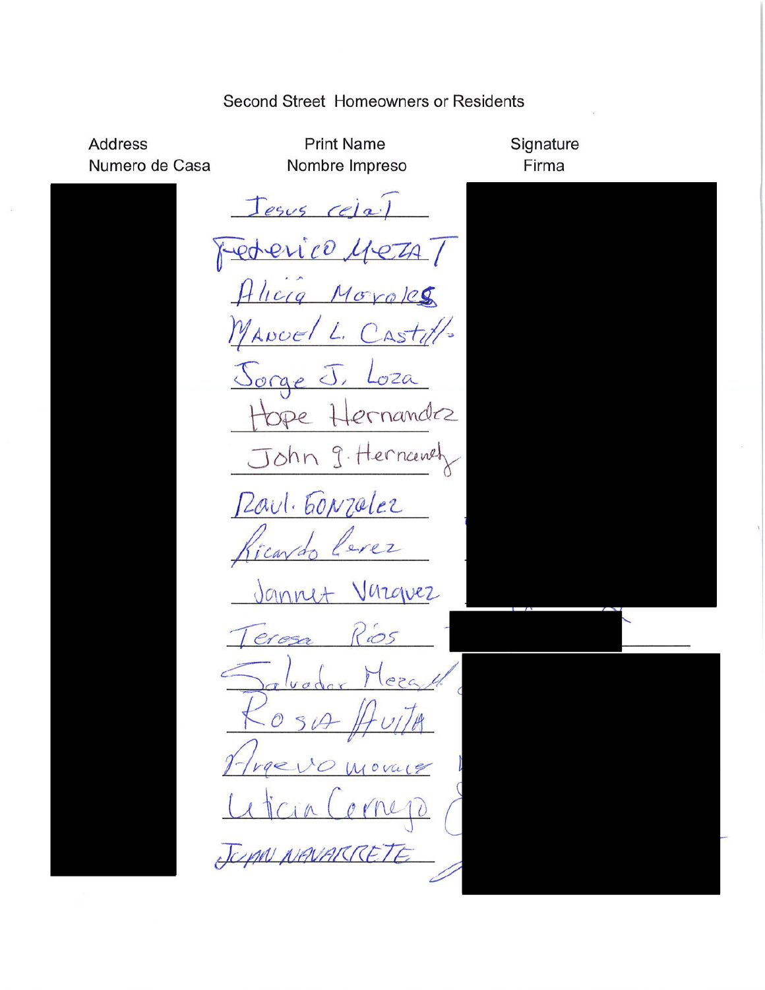### Second Street Homeowners or Residents

**Address** Numero de Casa

**Print Name** Nombre Impreso

Jesus (ela)

rederico.  $PIA$ Hlicia Moroles MANCEL Casty L, <u>Jorge</u> d  $OZQ$ ernandez OPe

John 9. Hernanch Peaul. Gonzalez

 $erer$ icavd

Varguez Jannet

Rios eresa  $\mathcal{O}$ 10 Moval9  $VQZ_1$ JUAN NAVAR

Signature Firma